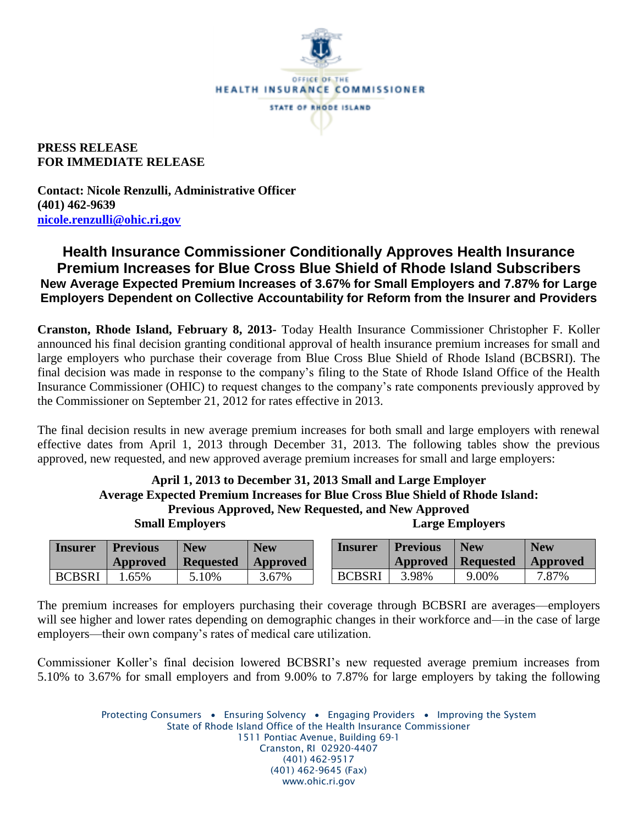

**PRESS RELEASE FOR IMMEDIATE RELEASE**

**Contact: Nicole Renzulli, Administrative Officer (401) 462-9639 [nicole.renzulli@ohic.ri.gov](mailto:nicole.renzulli@ohic.ri.gov)**

## **Health Insurance Commissioner Conditionally Approves Health Insurance Premium Increases for Blue Cross Blue Shield of Rhode Island Subscribers New Average Expected Premium Increases of 3.67% for Small Employers and 7.87% for Large Employers Dependent on Collective Accountability for Reform from the Insurer and Providers**

**Cranston, Rhode Island, February 8, 2013-** Today Health Insurance Commissioner Christopher F. Koller announced his final decision granting conditional approval of health insurance premium increases for small and large employers who purchase their coverage from Blue Cross Blue Shield of Rhode Island (BCBSRI). The final decision was made in response to the company's filing to the State of Rhode Island Office of the Health Insurance Commissioner (OHIC) to request changes to the company's rate components previously approved by the Commissioner on September 21, 2012 for rates effective in 2013.

The final decision results in new average premium increases for both small and large employers with renewal effective dates from April 1, 2013 through December 31, 2013. The following tables show the previous approved, new requested, and new approved average premium increases for small and large employers:

## **April 1, 2013 to December 31, 2013 Small and Large Employer Average Expected Premium Increases for Blue Cross Blue Shield of Rhode Island: Previous Approved, New Requested, and New Approved Small Employers Large Employers**

| <b>Insurer</b> | <b>Previous</b><br>Approved | <b>New</b><br><b>Requested</b> | <b>New</b><br>  Approved | <i>l</i> nsurer | <b>Previous</b> | <b>New</b><br>Approved   Requested | <b>New</b><br>  Approved |
|----------------|-----------------------------|--------------------------------|--------------------------|-----------------|-----------------|------------------------------------|--------------------------|
| <b>BCBSRI</b>  | .65%                        | 5.10%                          | 3.67%                    | <b>BCBSRI</b>   | 3.98%           | 9.00%                              | 7.87%                    |

The premium increases for employers purchasing their coverage through BCBSRI are averages—employers will see higher and lower rates depending on demographic changes in their workforce and—in the case of large employers—their own company's rates of medical care utilization.

Commissioner Koller's final decision lowered BCBSRI's new requested average premium increases from 5.10% to 3.67% for small employers and from 9.00% to 7.87% for large employers by taking the following

> Protecting Consumers • Ensuring Solvency • Engaging Providers • Improving the System State of Rhode Island Office of the Health Insurance Commissioner 1511 Pontiac Avenue, Building 69-1 Cranston, RI 02920-4407 (401) 462-9517 (401) 462-9645 (Fax) www.ohic.ri.gov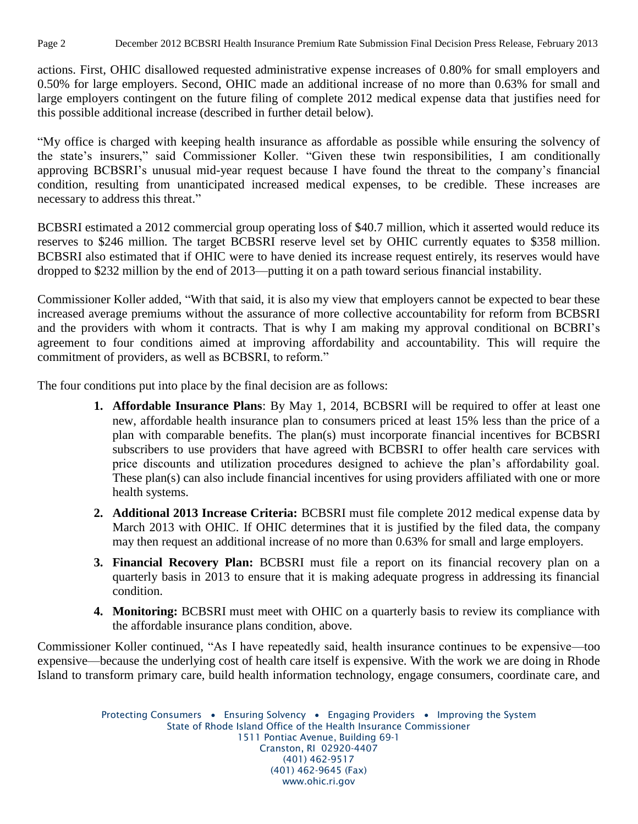Page 2 December 2012 BCBSRI Health Insurance Premium Rate Submission Final Decision Press Release, February 2013

actions. First, OHIC disallowed requested administrative expense increases of 0.80% for small employers and 0.50% for large employers. Second, OHIC made an additional increase of no more than 0.63% for small and large employers contingent on the future filing of complete 2012 medical expense data that justifies need for this possible additional increase (described in further detail below).

"My office is charged with keeping health insurance as affordable as possible while ensuring the solvency of the state's insurers," said Commissioner Koller. "Given these twin responsibilities, I am conditionally approving BCBSRI's unusual mid-year request because I have found the threat to the company's financial condition, resulting from unanticipated increased medical expenses, to be credible. These increases are necessary to address this threat."

BCBSRI estimated a 2012 commercial group operating loss of \$40.7 million, which it asserted would reduce its reserves to \$246 million. The target BCBSRI reserve level set by OHIC currently equates to \$358 million. BCBSRI also estimated that if OHIC were to have denied its increase request entirely, its reserves would have dropped to \$232 million by the end of 2013—putting it on a path toward serious financial instability.

Commissioner Koller added, "With that said, it is also my view that employers cannot be expected to bear these increased average premiums without the assurance of more collective accountability for reform from BCBSRI and the providers with whom it contracts. That is why I am making my approval conditional on BCBRI's agreement to four conditions aimed at improving affordability and accountability. This will require the commitment of providers, as well as BCBSRI, to reform."

The four conditions put into place by the final decision are as follows:

- **1. Affordable Insurance Plans**: By May 1, 2014, BCBSRI will be required to offer at least one new, affordable health insurance plan to consumers priced at least 15% less than the price of a plan with comparable benefits. The plan(s) must incorporate financial incentives for BCBSRI subscribers to use providers that have agreed with BCBSRI to offer health care services with price discounts and utilization procedures designed to achieve the plan's affordability goal. These plan(s) can also include financial incentives for using providers affiliated with one or more health systems.
- **2. Additional 2013 Increase Criteria:** BCBSRI must file complete 2012 medical expense data by March 2013 with OHIC. If OHIC determines that it is justified by the filed data, the company may then request an additional increase of no more than 0.63% for small and large employers.
- **3. Financial Recovery Plan:** BCBSRI must file a report on its financial recovery plan on a quarterly basis in 2013 to ensure that it is making adequate progress in addressing its financial condition.
- **4. Monitoring:** BCBSRI must meet with OHIC on a quarterly basis to review its compliance with the affordable insurance plans condition, above.

Commissioner Koller continued, "As I have repeatedly said, health insurance continues to be expensive—too expensive—because the underlying cost of health care itself is expensive. With the work we are doing in Rhode Island to transform primary care, build health information technology, engage consumers, coordinate care, and

> Protecting Consumers • Ensuring Solvency • Engaging Providers • Improving the System State of Rhode Island Office of the Health Insurance Commissioner 1511 Pontiac Avenue, Building 69-1 Cranston, RI 02920-4407 (401) 462-9517 (401) 462-9645 (Fax) www.ohic.ri.gov